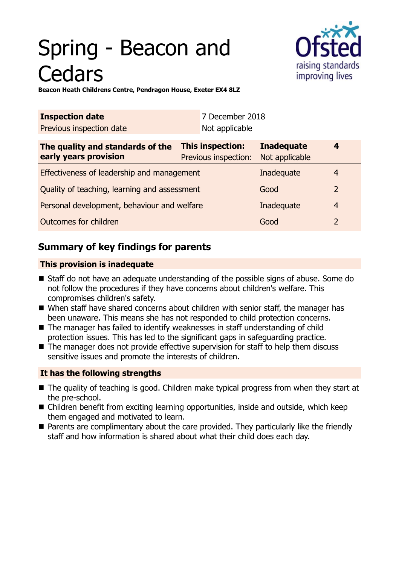# Spring - Beacon and **Cedars**



**Beacon Heath Childrens Centre, Pendragon House, Exeter EX4 8LZ**

| <b>Inspection date</b>                                    | 7 December 2018                          |                                     |                |
|-----------------------------------------------------------|------------------------------------------|-------------------------------------|----------------|
| Previous inspection date                                  | Not applicable                           |                                     |                |
| The quality and standards of the<br>early years provision | This inspection:<br>Previous inspection: | <b>Inadequate</b><br>Not applicable | 4              |
| Effectiveness of leadership and management                |                                          | Inadequate                          | 4              |
| Quality of teaching, learning and assessment              |                                          | Good                                | $\overline{2}$ |
| Personal development, behaviour and welfare               |                                          | Inadequate                          | 4              |
| Outcomes for children                                     |                                          | Good                                | 2              |

## **Summary of key findings for parents**

## **This provision is inadequate**

- Staff do not have an adequate understanding of the possible signs of abuse. Some do not follow the procedures if they have concerns about children's welfare. This compromises children's safety.
- When staff have shared concerns about children with senior staff, the manager has been unaware. This means she has not responded to child protection concerns.
- $\blacksquare$  The manager has failed to identify weaknesses in staff understanding of child protection issues. This has led to the significant gaps in safeguarding practice.
- $\blacksquare$  The manager does not provide effective supervision for staff to help them discuss sensitive issues and promote the interests of children.

## **It has the following strengths**

- $\blacksquare$  The quality of teaching is good. Children make typical progress from when they start at the pre-school.
- $\blacksquare$  Children benefit from exciting learning opportunities, inside and outside, which keep them engaged and motivated to learn.
- Parents are complimentary about the care provided. They particularly like the friendly staff and how information is shared about what their child does each day.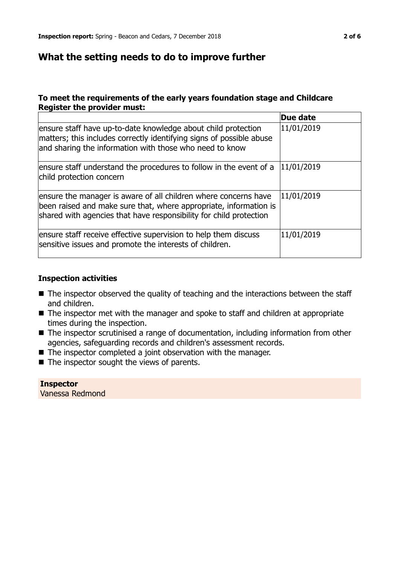## **What the setting needs to do to improve further**

### **To meet the requirements of the early years foundation stage and Childcare Register the provider must:**

|                                                                                                                                                                                                            | Due date   |
|------------------------------------------------------------------------------------------------------------------------------------------------------------------------------------------------------------|------------|
| ensure staff have up-to-date knowledge about child protection<br>matters; this includes correctly identifying signs of possible abuse<br>and sharing the information with those who need to know           | 11/01/2019 |
| ensure staff understand the procedures to follow in the event of a<br>child protection concern                                                                                                             | 11/01/2019 |
| ensure the manager is aware of all children where concerns have<br>been raised and make sure that, where appropriate, information is<br>shared with agencies that have responsibility for child protection | 11/01/2019 |
| ensure staff receive effective supervision to help them discuss<br>sensitive issues and promote the interests of children.                                                                                 | 11/01/2019 |

#### **Inspection activities**

- $\blacksquare$  The inspector observed the quality of teaching and the interactions between the staff and children.
- $\blacksquare$  The inspector met with the manager and spoke to staff and children at appropriate times during the inspection.
- $\blacksquare$  The inspector scrutinised a range of documentation, including information from other agencies, safeguarding records and children's assessment records.
- $\blacksquare$  The inspector completed a joint observation with the manager.
- $\blacksquare$  The inspector sought the views of parents.

**Inspector** Vanessa Redmond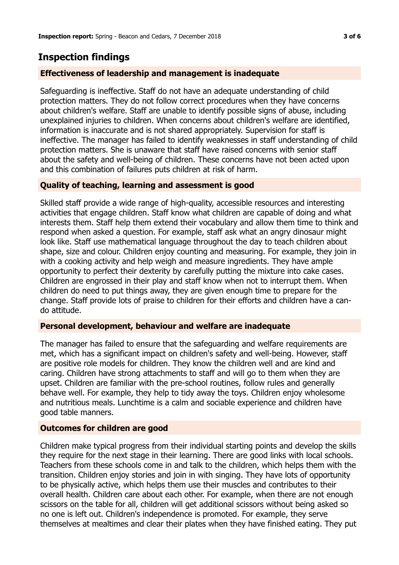## **Inspection findings**

## **Effectiveness of leadership and management is inadequate**

Safeguarding is ineffective. Staff do not have an adequate understanding of child protection matters. They do not follow correct procedures when they have concerns about children's welfare. Staff are unable to identify possible signs of abuse, including unexplained injuries to children. When concerns about children's welfare are identified, information is inaccurate and is not shared appropriately. Supervision for staff is ineffective. The manager has failed to identify weaknesses in staff understanding of child protection matters. She is unaware that staff have raised concerns with senior staff about the safety and well-being of children. These concerns have not been acted upon and this combination of failures puts children at risk of harm.

## **Quality of teaching, learning and assessment is good**

Skilled staff provide a wide range of high-quality, accessible resources and interesting activities that engage children. Staff know what children are capable of doing and what interests them. Staff help them extend their vocabulary and allow them time to think and respond when asked a question. For example, staff ask what an angry dinosaur might look like. Staff use mathematical language throughout the day to teach children about shape, size and colour. Children enjoy counting and measuring. For example, they join in with a cooking activity and help weigh and measure ingredients. They have ample opportunity to perfect their dexterity by carefully putting the mixture into cake cases. Children are engrossed in their play and staff know when not to interrupt them. When children do need to put things away, they are given enough time to prepare for the change. Staff provide lots of praise to children for their efforts and children have a cando attitude.

#### **Personal development, behaviour and welfare are inadequate**

The manager has failed to ensure that the safeguarding and welfare requirements are met, which has a significant impact on children's safety and well-being. However, staff are positive role models for children. They know the children well and are kind and caring. Children have strong attachments to staff and will go to them when they are upset. Children are familiar with the pre-school routines, follow rules and generally behave well. For example, they help to tidy away the toys. Children enjoy wholesome and nutritious meals. Lunchtime is a calm and sociable experience and children have good table manners.

#### **Outcomes for children are good**

Children make typical progress from their individual starting points and develop the skills they require for the next stage in their learning. There are good links with local schools. Teachers from these schools come in and talk to the children, which helps them with the transition. Children enjoy stories and join in with singing. They have lots of opportunity to be physically active, which helps them use their muscles and contributes to their overall health. Children care about each other. For example, when there are not enough scissors on the table for all, children will get additional scissors without being asked so no one is left out. Children's independence is promoted. For example, they serve themselves at mealtimes and clear their plates when they have finished eating. They put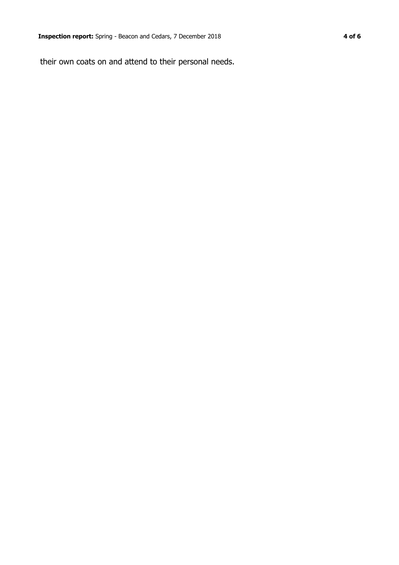their own coats on and attend to their personal needs.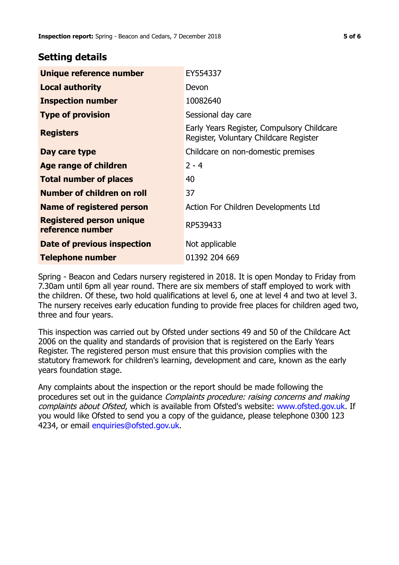## **Setting details**

| Unique reference number                             | EY554337                                                                             |
|-----------------------------------------------------|--------------------------------------------------------------------------------------|
| <b>Local authority</b>                              | Devon                                                                                |
| <b>Inspection number</b>                            | 10082640                                                                             |
| <b>Type of provision</b>                            | Sessional day care                                                                   |
| <b>Registers</b>                                    | Early Years Register, Compulsory Childcare<br>Register, Voluntary Childcare Register |
| Day care type                                       | Childcare on non-domestic premises                                                   |
| <b>Age range of children</b>                        | $2 - 4$                                                                              |
| <b>Total number of places</b>                       | 40                                                                                   |
| Number of children on roll                          | 37                                                                                   |
| Name of registered person                           | Action For Children Developments Ltd                                                 |
| <b>Registered person unique</b><br>reference number | RP539433                                                                             |
| Date of previous inspection                         | Not applicable                                                                       |
| <b>Telephone number</b>                             | 01392 204 669                                                                        |

Spring - Beacon and Cedars nursery registered in 2018. It is open Monday to Friday from 7.30am until 6pm all year round. There are six members of staff employed to work with the children. Of these, two hold qualifications at level 6, one at level 4 and two at level 3. The nursery receives early education funding to provide free places for children aged two, three and four years.

This inspection was carried out by Ofsted under sections 49 and 50 of the Childcare Act 2006 on the quality and standards of provision that is registered on the Early Years Register. The registered person must ensure that this provision complies with the statutory framework for children's learning, development and care, known as the early years foundation stage.

Any complaints about the inspection or the report should be made following the procedures set out in the guidance Complaints procedure: raising concerns and making complaints about Ofsted, which is available from Ofsted's website: www.ofsted.gov.uk. If you would like Ofsted to send you a copy of the guidance, please telephone 0300 123 4234, or email [enquiries@ofsted.gov.uk.](mailto:enquiries@ofsted.gov.uk)